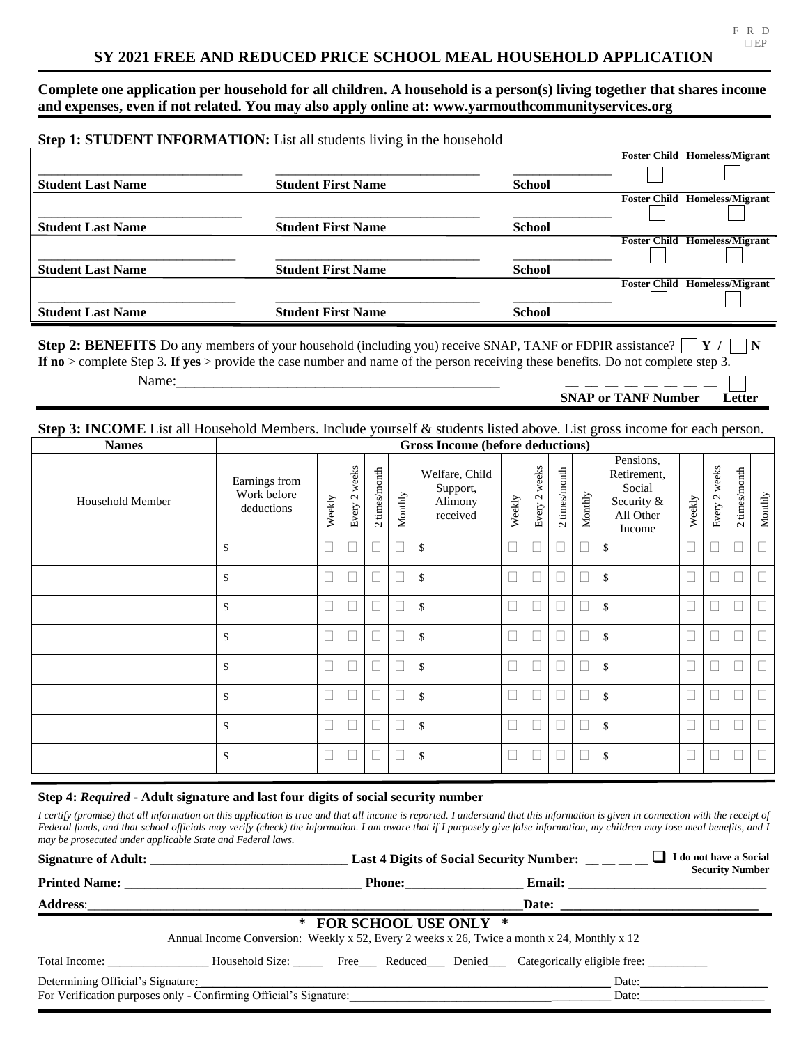**Complete one application per household for all children. A household is a person(s) living together that shares income and expenses, even if not related. You may also apply online at: www.yarmouthcommunityservices.org**

|                           |                                                                        |                     | <b>Foster Child Homeless/Migrant</b> |
|---------------------------|------------------------------------------------------------------------|---------------------|--------------------------------------|
|                           |                                                                        |                     |                                      |
| <b>Student First Name</b> | <b>School</b>                                                          |                     |                                      |
|                           |                                                                        | <b>Foster Child</b> | <b>Homeless/Migrant</b>              |
|                           |                                                                        |                     |                                      |
| <b>Student First Name</b> | <b>School</b>                                                          |                     |                                      |
|                           |                                                                        | <b>Foster Child</b> | <b>Homeless/Migrant</b>              |
|                           |                                                                        |                     |                                      |
| <b>Student First Name</b> | <b>School</b>                                                          |                     |                                      |
|                           |                                                                        | <b>Foster Child</b> | <b>Homeless/Migrant</b>              |
|                           |                                                                        |                     |                                      |
| <b>Student First Name</b> | <b>School</b>                                                          |                     |                                      |
|                           | Step 1: STUDENT INFORMATION: List all students living in the household |                     |                                      |

**Step 2: BENEFITS** Do any members of your household (including you) receive SNAP, TANF or FDPIR assistance?  $\mathbf{Y}$  /  $\mathbf{N}$ **If no** > complete Step 3. **If yes** > provide the case number and name of the person receiving these benefits. Do not complete step 3. Name:\_\_\_\_\_\_\_\_\_\_\_\_\_\_\_\_\_\_\_\_\_\_\_\_\_\_\_\_\_\_\_\_\_\_\_ **\_\_ \_\_ \_\_ \_\_ \_\_ \_\_ \_\_ \_\_** 

## **SNAP or TANF Number Letter**

## **Step 3: INCOME** List all Household Members. Include yourself & students listed above. List gross income for each person.

| <b>Names</b>     | Gross Income (before deductions)           |        |                          |               |         |                                                   |        |               |               |         |                                                                         |        |               |               |         |
|------------------|--------------------------------------------|--------|--------------------------|---------------|---------|---------------------------------------------------|--------|---------------|---------------|---------|-------------------------------------------------------------------------|--------|---------------|---------------|---------|
| Household Member | Earnings from<br>Work before<br>deductions | Weekly | weeks<br>$\sim$<br>Every | 2 times/month | Monthly | Welfare, Child<br>Support,<br>Alimony<br>received | Weekly | Every 2 weeks | 2 times/month | Monthly | Pensions,<br>Retirement,<br>Social<br>Security &<br>All Other<br>Income | Weekly | Every 2 weeks | 2 times/month | Monthly |
|                  | \$                                         |        |                          |               |         | \$                                                |        |               | □             |         | $\mathcal{S}$                                                           | $\Box$ |               |               |         |
|                  | \$                                         |        |                          |               |         | \$                                                |        |               |               |         | $\mathcal{S}$                                                           |        |               |               |         |
|                  | \$                                         |        |                          |               |         | \$                                                | $\Box$ |               |               |         | \$                                                                      |        |               | $\Box$        |         |
|                  | \$                                         |        |                          |               |         | \$                                                |        |               | П             |         | $\mathcal{S}$                                                           |        |               |               |         |
|                  | \$                                         |        |                          |               |         | \$                                                |        |               |               |         | $\mathcal{S}$                                                           |        |               |               |         |
|                  | \$                                         |        |                          |               |         | \$                                                | $\Box$ |               | $\Box$        |         | $\mathcal{S}$                                                           |        |               | $\Box$        |         |
|                  | \$                                         |        |                          |               |         | \$                                                |        |               | П             |         | \$                                                                      |        |               |               |         |
|                  | \$                                         |        |                          |               |         | \$                                                |        |               |               |         | $\mathbf{\hat{S}}$                                                      |        |               |               |         |

## **Step 4:** *Required* **- Adult signature and last four digits of social security number**

*I certify (promise) that all information on this application is true and that all income is reported. I understand that this information is given in connection with the receipt of Federal funds, and that school officials may verify (check) the information. I am aware that if I purposely give false information, my children may lose meal benefits, and I may be prosecuted under applicable State and Federal laws.*

|                                                                                                                             | Last 4 Digits of Social Security Number: __ _ _ _                                                      |               |  |  | I do not have a Social<br><b>Security Number</b>                                                                                                                                                                                        |  |  |
|-----------------------------------------------------------------------------------------------------------------------------|--------------------------------------------------------------------------------------------------------|---------------|--|--|-----------------------------------------------------------------------------------------------------------------------------------------------------------------------------------------------------------------------------------------|--|--|
|                                                                                                                             |                                                                                                        | <b>Phone:</b> |  |  |                                                                                                                                                                                                                                         |  |  |
|                                                                                                                             |                                                                                                        |               |  |  |                                                                                                                                                                                                                                         |  |  |
| <b>FOR SCHOOL USE ONLY *</b><br>Annual Income Conversion: Weekly x 52, Every 2 weeks x 26, Twice a month x 24, Monthly x 12 |                                                                                                        |               |  |  |                                                                                                                                                                                                                                         |  |  |
|                                                                                                                             | Total Income: <b>Example 3</b> Household Size: Free Reduced Denied Categorically eligible free:        |               |  |  |                                                                                                                                                                                                                                         |  |  |
|                                                                                                                             | Determining Official's Signature:<br>For Verification purposes only - Confirming Official's Signature: |               |  |  | Date: the contract of the contract of the contract of the contract of the contract of the contract of the contract of the contract of the contract of the contract of the contract of the contract of the contract of the cont<br>Date: |  |  |